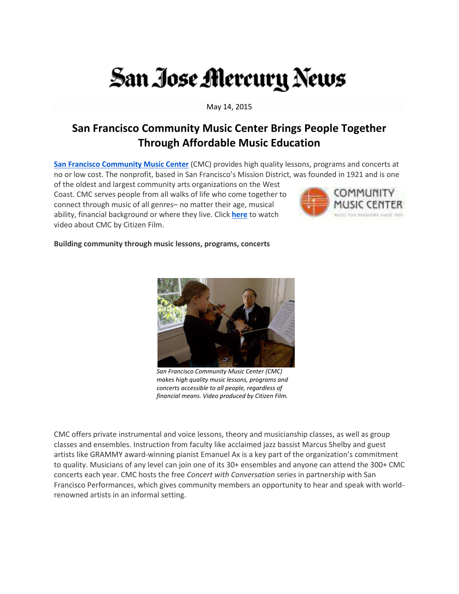# San Jose Mercury News

May 14, 2015

## San Francisco Community Music Center Brings People Together **Through Affordable Music Education**

San Francisco Community Music Center (CMC) provides high quality lessons, programs and concerts at no or low cost. The nonprofit, based in San Francisco's Mission District, was founded in 1921 and is one

of the oldest and largest community arts organizations on the West Coast. CMC serves people from all walks of life who come together to connect through music of all genres- no matter their age, musical ability, financial background or where they live. Click here to watch video about CMC by Citizen Film.



### Building community through music lessons, programs, concerts



San Francisco Community Music Center (CMC) makes high quality music lessons, programs and concerts accessible to all people, regardless of financial means. Video produced by Citizen Film.

CMC offers private instrumental and voice lessons, theory and musicianship classes, as well as group classes and ensembles. Instruction from faculty like acclaimed jazz bassist Marcus Shelby and guest artists like GRAMMY award-winning pianist Emanuel Ax is a key part of the organization's commitment to quality. Musicians of any level can join one of its 30+ ensembles and anyone can attend the 300+ CMC concerts each year. CMC hosts the free Concert with Conversation series in partnership with San Francisco Performances, which gives community members an opportunity to hear and speak with worldrenowned artists in an informal setting.